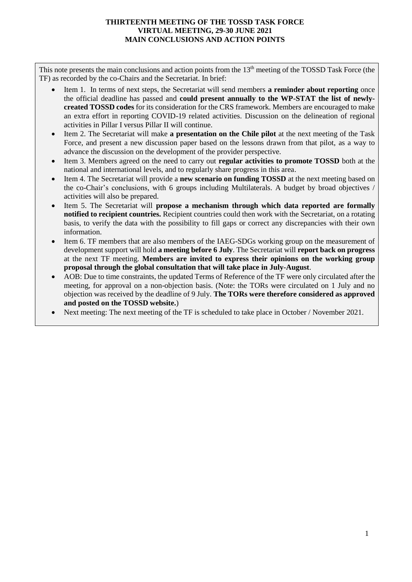## **THIRTEENTH MEETING OF THE TOSSD TASK FORCE VIRTUAL MEETING, 29-30 JUNE 2021 MAIN CONCLUSIONS AND ACTION POINTS**

This note presents the main conclusions and action points from the 13<sup>th</sup> meeting of the TOSSD Task Force (the TF) as recorded by the co-Chairs and the Secretariat. In brief:

- Item 1. In terms of next steps, the Secretariat will send members **a reminder about reporting** once the official deadline has passed and **could present annually to the WP-STAT the list of newlycreated TOSSD codes** for its consideration for the CRS framework. Members are encouraged to make an extra effort in reporting COVID-19 related activities. Discussion on the delineation of regional activities in Pillar I versus Pillar II will continue.
- Item 2. The Secretariat will make **a presentation on the Chile pilot** at the next meeting of the Task Force, and present a new discussion paper based on the lessons drawn from that pilot, as a way to advance the discussion on the development of the provider perspective.
- Item 3. Members agreed on the need to carry out **regular activities to promote TOSSD** both at the national and international levels, and to regularly share progress in this area.
- Item 4. The Secretariat will provide a **new scenario on funding TOSSD** at the next meeting based on the co-Chair's conclusions, with 6 groups including Multilaterals. A budget by broad objectives / activities will also be prepared.
- Item 5. The Secretariat will **propose a mechanism through which data reported are formally notified to recipient countries.** Recipient countries could then work with the Secretariat, on a rotating basis, to verify the data with the possibility to fill gaps or correct any discrepancies with their own information.
- Item 6. TF members that are also members of the IAEG-SDGs working group on the measurement of development support will hold **a meeting before 6 July**. The Secretariat will **report back on progress** at the next TF meeting. **Members are invited to express their opinions on the working group proposal through the global consultation that will take place in July-August**.
- AOB: Due to time constraints, the updated Terms of Reference of the TF were only circulated after the meeting, for approval on a non-objection basis. (Note: the TORs were circulated on 1 July and no objection was received by the deadline of 9 July. **The TORs were therefore considered as approved and posted on the TOSSD website.**)
- Next meeting: The next meeting of the TF is scheduled to take place in October / November 2021.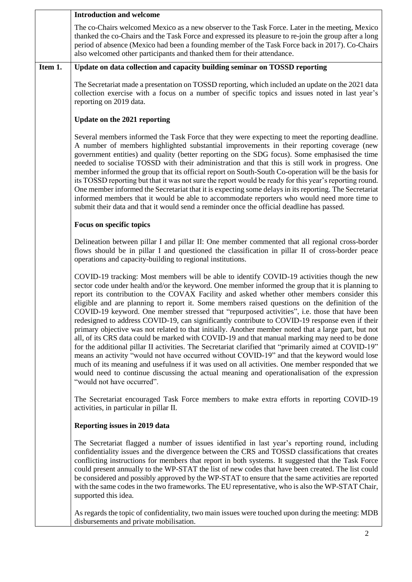|         | <b>Introduction and welcome</b>                                                                                                                                                                                                                                                                                                                                                                                                                                                                                                                                                                                                                                                                                                                                                                                                                                                                                                                                                                                                                                                                                                                                                                                                                              |
|---------|--------------------------------------------------------------------------------------------------------------------------------------------------------------------------------------------------------------------------------------------------------------------------------------------------------------------------------------------------------------------------------------------------------------------------------------------------------------------------------------------------------------------------------------------------------------------------------------------------------------------------------------------------------------------------------------------------------------------------------------------------------------------------------------------------------------------------------------------------------------------------------------------------------------------------------------------------------------------------------------------------------------------------------------------------------------------------------------------------------------------------------------------------------------------------------------------------------------------------------------------------------------|
|         | The co-Chairs welcomed Mexico as a new observer to the Task Force. Later in the meeting, Mexico<br>thanked the co-Chairs and the Task Force and expressed its pleasure to re-join the group after a long<br>period of absence (Mexico had been a founding member of the Task Force back in 2017). Co-Chairs<br>also welcomed other participants and thanked them for their attendance.                                                                                                                                                                                                                                                                                                                                                                                                                                                                                                                                                                                                                                                                                                                                                                                                                                                                       |
| Item 1. | Update on data collection and capacity building seminar on TOSSD reporting                                                                                                                                                                                                                                                                                                                                                                                                                                                                                                                                                                                                                                                                                                                                                                                                                                                                                                                                                                                                                                                                                                                                                                                   |
|         | The Secretariat made a presentation on TOSSD reporting, which included an update on the 2021 data<br>collection exercise with a focus on a number of specific topics and issues noted in last year's<br>reporting on 2019 data.                                                                                                                                                                                                                                                                                                                                                                                                                                                                                                                                                                                                                                                                                                                                                                                                                                                                                                                                                                                                                              |
|         | Update on the 2021 reporting                                                                                                                                                                                                                                                                                                                                                                                                                                                                                                                                                                                                                                                                                                                                                                                                                                                                                                                                                                                                                                                                                                                                                                                                                                 |
|         | Several members informed the Task Force that they were expecting to meet the reporting deadline.<br>A number of members highlighted substantial improvements in their reporting coverage (new<br>government entities) and quality (better reporting on the SDG focus). Some emphasised the time<br>needed to socialise TOSSD with their administration and that this is still work in progress. One<br>member informed the group that its official report on South-South Co-operation will be the basis for<br>its TOSSD reporting but that it was not sure the report would be ready for this year's reporting round.<br>One member informed the Secretariat that it is expecting some delays in its reporting. The Secretariat<br>informed members that it would be able to accommodate reporters who would need more time to<br>submit their data and that it would send a reminder once the official deadline has passed.                                                                                                                                                                                                                                                                                                                                |
|         | Focus on specific topics                                                                                                                                                                                                                                                                                                                                                                                                                                                                                                                                                                                                                                                                                                                                                                                                                                                                                                                                                                                                                                                                                                                                                                                                                                     |
|         | Delineation between pillar I and pillar II: One member commented that all regional cross-border<br>flows should be in pillar I and questioned the classification in pillar II of cross-border peace<br>operations and capacity-building to regional institutions.                                                                                                                                                                                                                                                                                                                                                                                                                                                                                                                                                                                                                                                                                                                                                                                                                                                                                                                                                                                            |
|         | COVID-19 tracking: Most members will be able to identify COVID-19 activities though the new<br>sector code under health and/or the keyword. One member informed the group that it is planning to<br>report its contribution to the COVAX Facility and asked whether other members consider this<br>eligible and are planning to report it. Some members raised questions on the definition of the<br>COVID-19 keyword. One member stressed that "repurposed activities", i.e. those that have been<br>redesigned to address COVID-19, can significantly contribute to COVID-19 response even if their<br>primary objective was not related to that initially. Another member noted that a large part, but not<br>all, of its CRS data could be marked with COVID-19 and that manual marking may need to be done<br>for the additional pillar II activities. The Secretariat clarified that "primarily aimed at COVID-19"<br>means an activity "would not have occurred without COVID-19" and that the keyword would lose<br>much of its meaning and usefulness if it was used on all activities. One member responded that we<br>would need to continue discussing the actual meaning and operationalisation of the expression<br>"would not have occurred". |
|         | The Secretariat encouraged Task Force members to make extra efforts in reporting COVID-19<br>activities, in particular in pillar II.                                                                                                                                                                                                                                                                                                                                                                                                                                                                                                                                                                                                                                                                                                                                                                                                                                                                                                                                                                                                                                                                                                                         |
|         | Reporting issues in 2019 data                                                                                                                                                                                                                                                                                                                                                                                                                                                                                                                                                                                                                                                                                                                                                                                                                                                                                                                                                                                                                                                                                                                                                                                                                                |
|         | The Secretariat flagged a number of issues identified in last year's reporting round, including<br>confidentiality issues and the divergence between the CRS and TOSSD classifications that creates<br>conflicting instructions for members that report in both systems. It suggested that the Task Force<br>could present annually to the WP-STAT the list of new codes that have been created. The list could<br>be considered and possibly approved by the WP-STAT to ensure that the same activities are reported<br>with the same codes in the two frameworks. The EU representative, who is also the WP-STAT Chair,<br>supported this idea.                                                                                                                                                                                                                                                                                                                                                                                                                                                                                                                                                                                                            |
|         | As regards the topic of confidentiality, two main issues were touched upon during the meeting: MDB<br>disbursements and private mobilisation.                                                                                                                                                                                                                                                                                                                                                                                                                                                                                                                                                                                                                                                                                                                                                                                                                                                                                                                                                                                                                                                                                                                |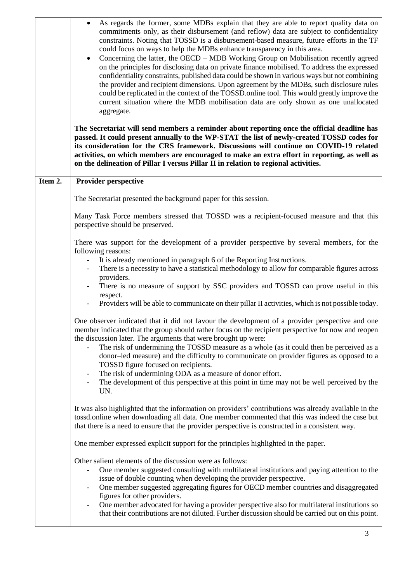|         | As regards the former, some MDBs explain that they are able to report quality data on<br>$\bullet$<br>commitments only, as their disbursement (and reflow) data are subject to confidentiality<br>constraints. Noting that TOSSD is a disbursement-based measure, future efforts in the TF<br>could focus on ways to help the MDBs enhance transparency in this area.<br>Concerning the latter, the OECD - MDB Working Group on Mobilisation recently agreed<br>$\bullet$<br>on the principles for disclosing data on private finance mobilised. To address the expressed<br>confidentiality constraints, published data could be shown in various ways but not combining<br>the provider and recipient dimensions. Upon agreement by the MDBs, such disclosure rules<br>could be replicated in the context of the TOSSD online tool. This would greatly improve the<br>current situation where the MDB mobilisation data are only shown as one unallocated<br>aggregate.<br>The Secretariat will send members a reminder about reporting once the official deadline has<br>passed. It could present annually to the WP-STAT the list of newly-created TOSSD codes for<br>its consideration for the CRS framework. Discussions will continue on COVID-19 related<br>activities, on which members are encouraged to make an extra effort in reporting, as well as<br>on the delineation of Pillar I versus Pillar II in relation to regional activities. |
|---------|---------------------------------------------------------------------------------------------------------------------------------------------------------------------------------------------------------------------------------------------------------------------------------------------------------------------------------------------------------------------------------------------------------------------------------------------------------------------------------------------------------------------------------------------------------------------------------------------------------------------------------------------------------------------------------------------------------------------------------------------------------------------------------------------------------------------------------------------------------------------------------------------------------------------------------------------------------------------------------------------------------------------------------------------------------------------------------------------------------------------------------------------------------------------------------------------------------------------------------------------------------------------------------------------------------------------------------------------------------------------------------------------------------------------------------------------------------|
| Item 2. | <b>Provider perspective</b>                                                                                                                                                                                                                                                                                                                                                                                                                                                                                                                                                                                                                                                                                                                                                                                                                                                                                                                                                                                                                                                                                                                                                                                                                                                                                                                                                                                                                             |
|         | The Secretariat presented the background paper for this session.                                                                                                                                                                                                                                                                                                                                                                                                                                                                                                                                                                                                                                                                                                                                                                                                                                                                                                                                                                                                                                                                                                                                                                                                                                                                                                                                                                                        |
|         | Many Task Force members stressed that TOSSD was a recipient-focused measure and that this<br>perspective should be preserved.                                                                                                                                                                                                                                                                                                                                                                                                                                                                                                                                                                                                                                                                                                                                                                                                                                                                                                                                                                                                                                                                                                                                                                                                                                                                                                                           |
|         | There was support for the development of a provider perspective by several members, for the<br>following reasons:                                                                                                                                                                                                                                                                                                                                                                                                                                                                                                                                                                                                                                                                                                                                                                                                                                                                                                                                                                                                                                                                                                                                                                                                                                                                                                                                       |
|         | It is already mentioned in paragraph 6 of the Reporting Instructions.                                                                                                                                                                                                                                                                                                                                                                                                                                                                                                                                                                                                                                                                                                                                                                                                                                                                                                                                                                                                                                                                                                                                                                                                                                                                                                                                                                                   |
|         | There is a necessity to have a statistical methodology to allow for comparable figures across<br>providers.                                                                                                                                                                                                                                                                                                                                                                                                                                                                                                                                                                                                                                                                                                                                                                                                                                                                                                                                                                                                                                                                                                                                                                                                                                                                                                                                             |
|         | There is no measure of support by SSC providers and TOSSD can prove useful in this<br>respect.                                                                                                                                                                                                                                                                                                                                                                                                                                                                                                                                                                                                                                                                                                                                                                                                                                                                                                                                                                                                                                                                                                                                                                                                                                                                                                                                                          |
|         | Providers will be able to communicate on their pillar II activities, which is not possible today.                                                                                                                                                                                                                                                                                                                                                                                                                                                                                                                                                                                                                                                                                                                                                                                                                                                                                                                                                                                                                                                                                                                                                                                                                                                                                                                                                       |
|         | One observer indicated that it did not favour the development of a provider perspective and one<br>member indicated that the group should rather focus on the recipient perspective for now and reopen<br>the discussion later. The arguments that were brought up were:                                                                                                                                                                                                                                                                                                                                                                                                                                                                                                                                                                                                                                                                                                                                                                                                                                                                                                                                                                                                                                                                                                                                                                                |
|         | The risk of undermining the TOSSD measure as a whole (as it could then be perceived as a<br>donor-led measure) and the difficulty to communicate on provider figures as opposed to a<br>TOSSD figure focused on recipients.                                                                                                                                                                                                                                                                                                                                                                                                                                                                                                                                                                                                                                                                                                                                                                                                                                                                                                                                                                                                                                                                                                                                                                                                                             |
|         | The risk of undermining ODA as a measure of donor effort.<br>The development of this perspective at this point in time may not be well perceived by the<br>UN.                                                                                                                                                                                                                                                                                                                                                                                                                                                                                                                                                                                                                                                                                                                                                                                                                                                                                                                                                                                                                                                                                                                                                                                                                                                                                          |
|         | It was also highlighted that the information on providers' contributions was already available in the<br>tossd.online when downloading all data. One member commented that this was indeed the case but<br>that there is a need to ensure that the provider perspective is constructed in a consistent way.                                                                                                                                                                                                                                                                                                                                                                                                                                                                                                                                                                                                                                                                                                                                                                                                                                                                                                                                                                                                                                                                                                                                             |
|         | One member expressed explicit support for the principles highlighted in the paper.                                                                                                                                                                                                                                                                                                                                                                                                                                                                                                                                                                                                                                                                                                                                                                                                                                                                                                                                                                                                                                                                                                                                                                                                                                                                                                                                                                      |
|         | Other salient elements of the discussion were as follows:<br>One member suggested consulting with multilateral institutions and paying attention to the<br>issue of double counting when developing the provider perspective.<br>One member suggested aggregating figures for OECD member countries and disaggregated<br>$\overline{\phantom{0}}$<br>figures for other providers.<br>One member advocated for having a provider perspective also for multilateral institutions so<br>that their contributions are not diluted. Further discussion should be carried out on this point.                                                                                                                                                                                                                                                                                                                                                                                                                                                                                                                                                                                                                                                                                                                                                                                                                                                                  |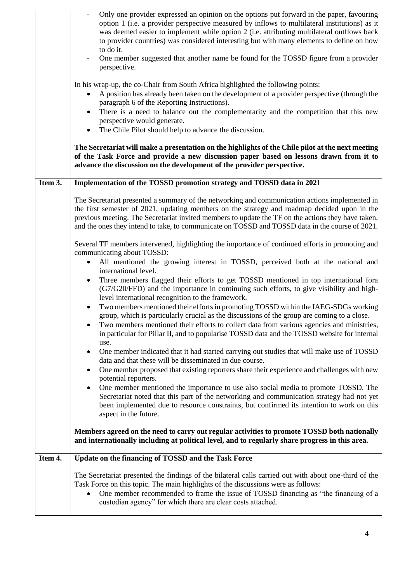|         | Only one provider expressed an opinion on the options put forward in the paper, favouring<br>option 1 (i.e. a provider perspective measured by inflows to multilateral institutions) as it<br>was deemed easier to implement while option 2 (i.e. attributing multilateral outflows back<br>to provider countries) was considered interesting but with many elements to define on how<br>to do it.<br>One member suggested that another name be found for the TOSSD figure from a provider<br>perspective.<br>In his wrap-up, the co-Chair from South Africa highlighted the following points:<br>A position has already been taken on the development of a provider perspective (through the<br>$\bullet$<br>paragraph 6 of the Reporting Instructions).<br>There is a need to balance out the complementarity and the competition that this new<br>$\bullet$<br>perspective would generate.<br>The Chile Pilot should help to advance the discussion.<br>$\bullet$<br>The Secretariat will make a presentation on the highlights of the Chile pilot at the next meeting<br>of the Task Force and provide a new discussion paper based on lessons drawn from it to<br>advance the discussion on the development of the provider perspective. |
|---------|-----------------------------------------------------------------------------------------------------------------------------------------------------------------------------------------------------------------------------------------------------------------------------------------------------------------------------------------------------------------------------------------------------------------------------------------------------------------------------------------------------------------------------------------------------------------------------------------------------------------------------------------------------------------------------------------------------------------------------------------------------------------------------------------------------------------------------------------------------------------------------------------------------------------------------------------------------------------------------------------------------------------------------------------------------------------------------------------------------------------------------------------------------------------------------------------------------------------------------------------------|
| Item 3. | Implementation of the TOSSD promotion strategy and TOSSD data in 2021                                                                                                                                                                                                                                                                                                                                                                                                                                                                                                                                                                                                                                                                                                                                                                                                                                                                                                                                                                                                                                                                                                                                                                         |
|         | The Secretariat presented a summary of the networking and communication actions implemented in<br>the first semester of 2021, updating members on the strategy and roadmap decided upon in the<br>previous meeting. The Secretariat invited members to update the TF on the actions they have taken,<br>and the ones they intend to take, to communicate on TOSSD and TOSSD data in the course of 2021.                                                                                                                                                                                                                                                                                                                                                                                                                                                                                                                                                                                                                                                                                                                                                                                                                                       |
|         | Several TF members intervened, highlighting the importance of continued efforts in promoting and<br>communicating about TOSSD:                                                                                                                                                                                                                                                                                                                                                                                                                                                                                                                                                                                                                                                                                                                                                                                                                                                                                                                                                                                                                                                                                                                |
|         | All mentioned the growing interest in TOSSD, perceived both at the national and<br>$\bullet$<br>international level.                                                                                                                                                                                                                                                                                                                                                                                                                                                                                                                                                                                                                                                                                                                                                                                                                                                                                                                                                                                                                                                                                                                          |
|         | Three members flagged their efforts to get TOSSD mentioned in top international fora<br>$\bullet$<br>(G7/G20/FFD) and the importance in continuing such efforts, to give visibility and high-<br>level international recognition to the framework.                                                                                                                                                                                                                                                                                                                                                                                                                                                                                                                                                                                                                                                                                                                                                                                                                                                                                                                                                                                            |
|         | Two members mentioned their efforts in promoting TOSSD within the IAEG-SDGs working<br>group, which is particularly crucial as the discussions of the group are coming to a close.<br>Two members mentioned their efforts to collect data from various agencies and ministries,<br>٠<br>in particular for Pillar II, and to popularise TOSSD data and the TOSSD website for internal                                                                                                                                                                                                                                                                                                                                                                                                                                                                                                                                                                                                                                                                                                                                                                                                                                                          |
|         | use.<br>One member indicated that it had started carrying out studies that will make use of TOSSD<br>$\bullet$<br>data and that these will be disseminated in due course.                                                                                                                                                                                                                                                                                                                                                                                                                                                                                                                                                                                                                                                                                                                                                                                                                                                                                                                                                                                                                                                                     |
|         | One member proposed that existing reporters share their experience and challenges with new<br>$\bullet$<br>potential reporters.                                                                                                                                                                                                                                                                                                                                                                                                                                                                                                                                                                                                                                                                                                                                                                                                                                                                                                                                                                                                                                                                                                               |
|         | One member mentioned the importance to use also social media to promote TOSSD. The<br>$\bullet$<br>Secretariat noted that this part of the networking and communication strategy had not yet<br>been implemented due to resource constraints, but confirmed its intention to work on this<br>aspect in the future.                                                                                                                                                                                                                                                                                                                                                                                                                                                                                                                                                                                                                                                                                                                                                                                                                                                                                                                            |
|         | Members agreed on the need to carry out regular activities to promote TOSSD both nationally<br>and internationally including at political level, and to regularly share progress in this area.                                                                                                                                                                                                                                                                                                                                                                                                                                                                                                                                                                                                                                                                                                                                                                                                                                                                                                                                                                                                                                                |
| Item 4. | Update on the financing of TOSSD and the Task Force                                                                                                                                                                                                                                                                                                                                                                                                                                                                                                                                                                                                                                                                                                                                                                                                                                                                                                                                                                                                                                                                                                                                                                                           |
|         | The Secretariat presented the findings of the bilateral calls carried out with about one-third of the<br>Task Force on this topic. The main highlights of the discussions were as follows:<br>One member recommended to frame the issue of TOSSD financing as "the financing of a<br>custodian agency" for which there are clear costs attached.                                                                                                                                                                                                                                                                                                                                                                                                                                                                                                                                                                                                                                                                                                                                                                                                                                                                                              |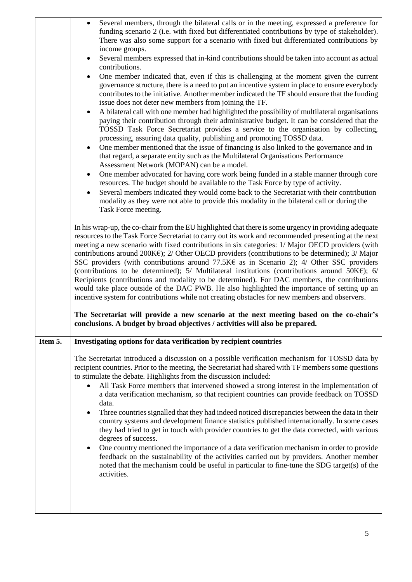|         | Several members, through the bilateral calls or in the meeting, expressed a preference for<br>$\bullet$                                                                                                                                                                                                                                                                                                                                                                                                                                                                                                                                                                                                                                                                                                                                                                                                                                                                                                                                                                                                                                                                                                                                                                                                                                                                                        |
|---------|------------------------------------------------------------------------------------------------------------------------------------------------------------------------------------------------------------------------------------------------------------------------------------------------------------------------------------------------------------------------------------------------------------------------------------------------------------------------------------------------------------------------------------------------------------------------------------------------------------------------------------------------------------------------------------------------------------------------------------------------------------------------------------------------------------------------------------------------------------------------------------------------------------------------------------------------------------------------------------------------------------------------------------------------------------------------------------------------------------------------------------------------------------------------------------------------------------------------------------------------------------------------------------------------------------------------------------------------------------------------------------------------|
|         | funding scenario 2 (i.e. with fixed but differentiated contributions by type of stakeholder).<br>There was also some support for a scenario with fixed but differentiated contributions by                                                                                                                                                                                                                                                                                                                                                                                                                                                                                                                                                                                                                                                                                                                                                                                                                                                                                                                                                                                                                                                                                                                                                                                                     |
|         | income groups.<br>Several members expressed that in-kind contributions should be taken into account as actual<br>$\bullet$                                                                                                                                                                                                                                                                                                                                                                                                                                                                                                                                                                                                                                                                                                                                                                                                                                                                                                                                                                                                                                                                                                                                                                                                                                                                     |
|         | contributions.                                                                                                                                                                                                                                                                                                                                                                                                                                                                                                                                                                                                                                                                                                                                                                                                                                                                                                                                                                                                                                                                                                                                                                                                                                                                                                                                                                                 |
|         | One member indicated that, even if this is challenging at the moment given the current<br>$\bullet$<br>governance structure, there is a need to put an incentive system in place to ensure everybody<br>contributes to the initiative. Another member indicated the TF should ensure that the funding<br>issue does not deter new members from joining the TF.<br>A bilateral call with one member had highlighted the possibility of multilateral organisations<br>$\bullet$<br>paying their contribution through their administrative budget. It can be considered that the<br>TOSSD Task Force Secretariat provides a service to the organisation by collecting,<br>processing, assuring data quality, publishing and promoting TOSSD data.<br>One member mentioned that the issue of financing is also linked to the governance and in<br>$\bullet$<br>that regard, a separate entity such as the Multilateral Organisations Performance<br>Assessment Network (MOPAN) can be a model.<br>One member advocated for having core work being funded in a stable manner through core<br>$\bullet$<br>resources. The budget should be available to the Task Force by type of activity.<br>Several members indicated they would come back to the Secretariat with their contribution<br>$\bullet$<br>modality as they were not able to provide this modality in the bilateral call or during the |
|         | Task Force meeting.                                                                                                                                                                                                                                                                                                                                                                                                                                                                                                                                                                                                                                                                                                                                                                                                                                                                                                                                                                                                                                                                                                                                                                                                                                                                                                                                                                            |
|         | In his wrap-up, the co-chair from the EU highlighted that there is some urgency in providing adequate<br>resources to the Task Force Secretariat to carry out its work and recommended presenting at the next<br>meeting a new scenario with fixed contributions in six categories: 1/ Major OECD providers (with<br>contributions around 200K $\epsilon$ ); 2/ Other OECD providers (contributions to be determined); 3/ Major<br>SSC providers (with contributions around 77.5KE as in Scenario 2); 4/ Other SSC providers<br>(contributions to be determined); 5/ Multilateral institutions (contributions around 50K $\epsilon$ ); 6/<br>Recipients (contributions and modality to be determined). For DAC members, the contributions<br>would take place outside of the DAC PWB. He also highlighted the importance of setting up an<br>incentive system for contributions while not creating obstacles for new members and observers.<br>The Secretariat will provide a new scenario at the next meeting based on the co-chair's                                                                                                                                                                                                                                                                                                                                                         |
|         | conclusions. A budget by broad objectives / activities will also be prepared.                                                                                                                                                                                                                                                                                                                                                                                                                                                                                                                                                                                                                                                                                                                                                                                                                                                                                                                                                                                                                                                                                                                                                                                                                                                                                                                  |
| Item 5. | Investigating options for data verification by recipient countries                                                                                                                                                                                                                                                                                                                                                                                                                                                                                                                                                                                                                                                                                                                                                                                                                                                                                                                                                                                                                                                                                                                                                                                                                                                                                                                             |
|         | The Secretariat introduced a discussion on a possible verification mechanism for TOSSD data by<br>recipient countries. Prior to the meeting, the Secretariat had shared with TF members some questions<br>to stimulate the debate. Highlights from the discussion included:<br>All Task Force members that intervened showed a strong interest in the implementation of<br>a data verification mechanism, so that recipient countries can provide feedback on TOSSD<br>data.<br>Three countries signalled that they had indeed noticed discrepancies between the data in their<br>٠<br>country systems and development finance statistics published internationally. In some cases<br>they had tried to get in touch with provider countries to get the data corrected, with various<br>degrees of success.<br>One country mentioned the importance of a data verification mechanism in order to provide<br>٠<br>feedback on the sustainability of the activities carried out by providers. Another member<br>noted that the mechanism could be useful in particular to fine-tune the SDG target(s) of the<br>activities.                                                                                                                                                                                                                                                                      |
|         |                                                                                                                                                                                                                                                                                                                                                                                                                                                                                                                                                                                                                                                                                                                                                                                                                                                                                                                                                                                                                                                                                                                                                                                                                                                                                                                                                                                                |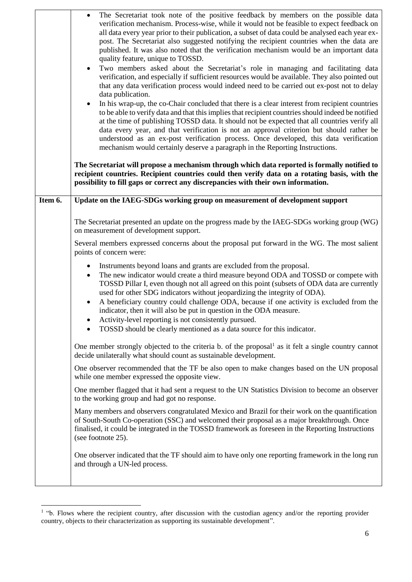|         | The Secretariat took note of the positive feedback by members on the possible data<br>$\bullet$<br>verification mechanism. Process-wise, while it would not be feasible to expect feedback on<br>all data every year prior to their publication, a subset of data could be analysed each year ex-<br>post. The Secretariat also suggested notifying the recipient countries when the data are<br>published. It was also noted that the verification mechanism would be an important data<br>quality feature, unique to TOSSD.<br>Two members asked about the Secretariat's role in managing and facilitating data<br>$\bullet$<br>verification, and especially if sufficient resources would be available. They also pointed out<br>that any data verification process would indeed need to be carried out ex-post not to delay<br>data publication.<br>In his wrap-up, the co-Chair concluded that there is a clear interest from recipient countries<br>$\bullet$<br>to be able to verify data and that this implies that recipient countries should indeed be notified<br>at the time of publishing TOSSD data. It should not be expected that all countries verify all<br>data every year, and that verification is not an approval criterion but should rather be<br>understood as an ex-post verification process. Once developed, this data verification<br>mechanism would certainly deserve a paragraph in the Reporting Instructions. |
|---------|-------------------------------------------------------------------------------------------------------------------------------------------------------------------------------------------------------------------------------------------------------------------------------------------------------------------------------------------------------------------------------------------------------------------------------------------------------------------------------------------------------------------------------------------------------------------------------------------------------------------------------------------------------------------------------------------------------------------------------------------------------------------------------------------------------------------------------------------------------------------------------------------------------------------------------------------------------------------------------------------------------------------------------------------------------------------------------------------------------------------------------------------------------------------------------------------------------------------------------------------------------------------------------------------------------------------------------------------------------------------------------------------------------------------------------------------------|
|         | The Secretariat will propose a mechanism through which data reported is formally notified to<br>recipient countries. Recipient countries could then verify data on a rotating basis, with the<br>possibility to fill gaps or correct any discrepancies with their own information.                                                                                                                                                                                                                                                                                                                                                                                                                                                                                                                                                                                                                                                                                                                                                                                                                                                                                                                                                                                                                                                                                                                                                              |
| Item 6. | Update on the IAEG-SDGs working group on measurement of development support                                                                                                                                                                                                                                                                                                                                                                                                                                                                                                                                                                                                                                                                                                                                                                                                                                                                                                                                                                                                                                                                                                                                                                                                                                                                                                                                                                     |
|         | The Secretariat presented an update on the progress made by the IAEG-SDGs working group (WG)<br>on measurement of development support.                                                                                                                                                                                                                                                                                                                                                                                                                                                                                                                                                                                                                                                                                                                                                                                                                                                                                                                                                                                                                                                                                                                                                                                                                                                                                                          |
|         | Several members expressed concerns about the proposal put forward in the WG. The most salient<br>points of concern were:                                                                                                                                                                                                                                                                                                                                                                                                                                                                                                                                                                                                                                                                                                                                                                                                                                                                                                                                                                                                                                                                                                                                                                                                                                                                                                                        |
|         | Instruments beyond loans and grants are excluded from the proposal.<br>٠<br>The new indicator would create a third measure beyond ODA and TOSSD or compete with<br>$\bullet$<br>TOSSD Pillar I, even though not all agreed on this point (subsets of ODA data are currently<br>used for other SDG indicators without jeopardizing the integrity of ODA).<br>A beneficiary country could challenge ODA, because if one activity is excluded from the<br>$\bullet$<br>indicator, then it will also be put in question in the ODA measure.<br>Activity-level reporting is not consistently pursued.<br>TOSSD should be clearly mentioned as a data source for this indicator.                                                                                                                                                                                                                                                                                                                                                                                                                                                                                                                                                                                                                                                                                                                                                                      |
|         | One member strongly objected to the criteria b. of the proposal <sup>1</sup> as it felt a single country cannot<br>decide unilaterally what should count as sustainable development.                                                                                                                                                                                                                                                                                                                                                                                                                                                                                                                                                                                                                                                                                                                                                                                                                                                                                                                                                                                                                                                                                                                                                                                                                                                            |
|         | One observer recommended that the TF be also open to make changes based on the UN proposal<br>while one member expressed the opposite view.                                                                                                                                                                                                                                                                                                                                                                                                                                                                                                                                                                                                                                                                                                                                                                                                                                                                                                                                                                                                                                                                                                                                                                                                                                                                                                     |
|         | One member flagged that it had sent a request to the UN Statistics Division to become an observer<br>to the working group and had got no response.                                                                                                                                                                                                                                                                                                                                                                                                                                                                                                                                                                                                                                                                                                                                                                                                                                                                                                                                                                                                                                                                                                                                                                                                                                                                                              |
|         | Many members and observers congratulated Mexico and Brazil for their work on the quantification<br>of South-South Co-operation (SSC) and welcomed their proposal as a major breakthrough. Once<br>finalised, it could be integrated in the TOSSD framework as foreseen in the Reporting Instructions<br>(see footnote 25).                                                                                                                                                                                                                                                                                                                                                                                                                                                                                                                                                                                                                                                                                                                                                                                                                                                                                                                                                                                                                                                                                                                      |
|         | One observer indicated that the TF should aim to have only one reporting framework in the long run<br>and through a UN-led process.                                                                                                                                                                                                                                                                                                                                                                                                                                                                                                                                                                                                                                                                                                                                                                                                                                                                                                                                                                                                                                                                                                                                                                                                                                                                                                             |

 1 "b. Flows where the recipient country, after discussion with the custodian agency and/or the reporting provider country, objects to their characterization as supporting its sustainable development".